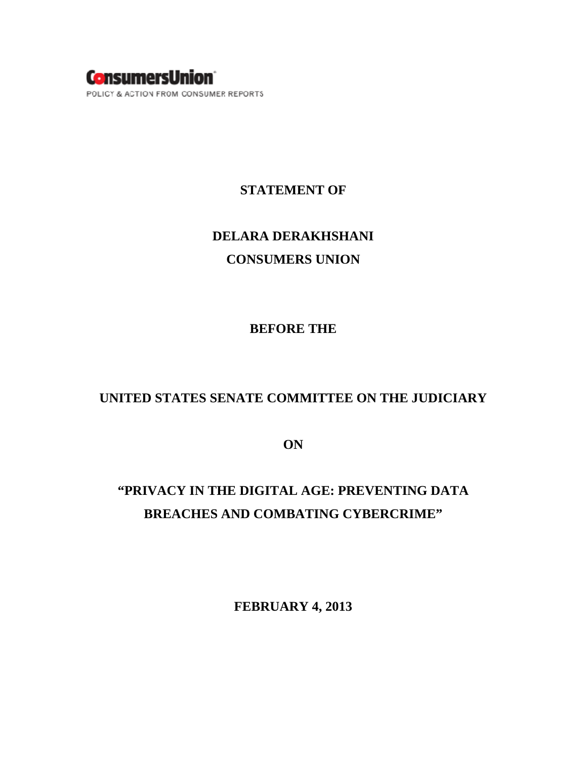

#### **STATEMENT OF**

# **DELARA DERAKHSHANI CONSUMERS UNION**

#### **BEFORE THE**

### **UNITED STATES SENATE COMMITTEE ON THE JUDICIARY**

**ON** 

## **"PRIVACY IN THE DIGITAL AGE: PREVENTING DATA BREACHES AND COMBATING CYBERCRIME"**

**FEBRUARY 4, 2013**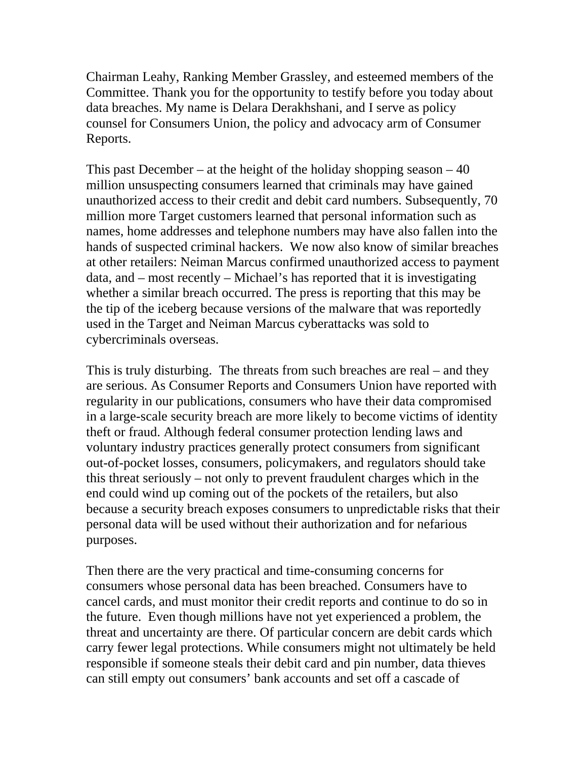Chairman Leahy, Ranking Member Grassley, and esteemed members of the Committee. Thank you for the opportunity to testify before you today about data breaches. My name is Delara Derakhshani, and I serve as policy counsel for Consumers Union, the policy and advocacy arm of Consumer Reports.

This past December – at the height of the holiday shopping season  $-40$ million unsuspecting consumers learned that criminals may have gained unauthorized access to their credit and debit card numbers. Subsequently, 70 million more Target customers learned that personal information such as names, home addresses and telephone numbers may have also fallen into the hands of suspected criminal hackers. We now also know of similar breaches at other retailers: Neiman Marcus confirmed unauthorized access to payment data, and – most recently – Michael's has reported that it is investigating whether a similar breach occurred. The press is reporting that this may be the tip of the iceberg because versions of the malware that was reportedly used in the Target and Neiman Marcus cyberattacks was sold to cybercriminals overseas.

This is truly disturbing. The threats from such breaches are real – and they are serious. As Consumer Reports and Consumers Union have reported with regularity in our publications, consumers who have their data compromised in a large-scale security breach are more likely to become victims of identity theft or fraud. Although federal consumer protection lending laws and voluntary industry practices generally protect consumers from significant out-of-pocket losses, consumers, policymakers, and regulators should take this threat seriously – not only to prevent fraudulent charges which in the end could wind up coming out of the pockets of the retailers, but also because a security breach exposes consumers to unpredictable risks that their personal data will be used without their authorization and for nefarious purposes.

Then there are the very practical and time-consuming concerns for consumers whose personal data has been breached. Consumers have to cancel cards, and must monitor their credit reports and continue to do so in the future. Even though millions have not yet experienced a problem, the threat and uncertainty are there. Of particular concern are debit cards which carry fewer legal protections. While consumers might not ultimately be held responsible if someone steals their debit card and pin number, data thieves can still empty out consumers' bank accounts and set off a cascade of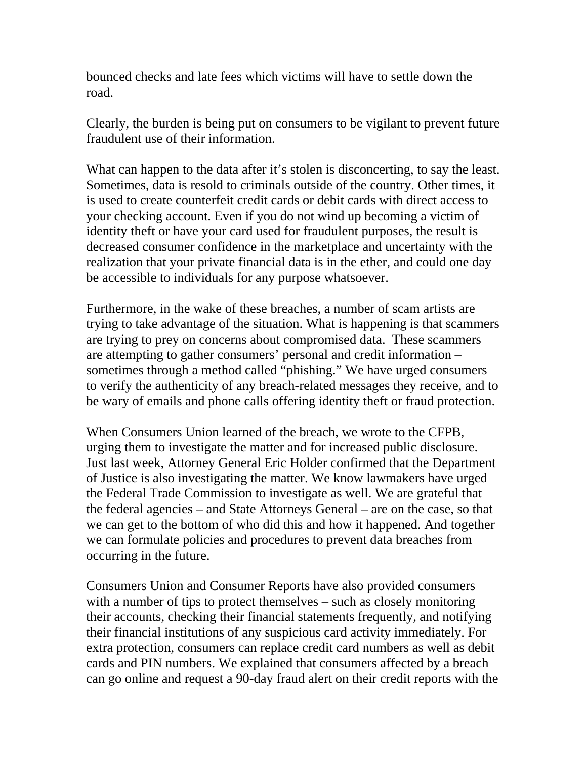bounced checks and late fees which victims will have to settle down the road.

Clearly, the burden is being put on consumers to be vigilant to prevent future fraudulent use of their information.

What can happen to the data after it's stolen is disconcerting, to say the least. Sometimes, data is resold to criminals outside of the country. Other times, it is used to create counterfeit credit cards or debit cards with direct access to your checking account. Even if you do not wind up becoming a victim of identity theft or have your card used for fraudulent purposes, the result is decreased consumer confidence in the marketplace and uncertainty with the realization that your private financial data is in the ether, and could one day be accessible to individuals for any purpose whatsoever.

Furthermore, in the wake of these breaches, a number of scam artists are trying to take advantage of the situation. What is happening is that scammers are trying to prey on concerns about compromised data. These scammers are attempting to gather consumers' personal and credit information – sometimes through a method called "phishing." We have urged consumers to verify the authenticity of any breach-related messages they receive, and to be wary of emails and phone calls offering identity theft or fraud protection.

When Consumers Union learned of the breach, we wrote to the CFPB, urging them to investigate the matter and for increased public disclosure. Just last week, Attorney General Eric Holder confirmed that the Department of Justice is also investigating the matter. We know lawmakers have urged the Federal Trade Commission to investigate as well. We are grateful that the federal agencies – and State Attorneys General – are on the case, so that we can get to the bottom of who did this and how it happened. And together we can formulate policies and procedures to prevent data breaches from occurring in the future.

Consumers Union and Consumer Reports have also provided consumers with a number of tips to protect themselves – such as closely monitoring their accounts, checking their financial statements frequently, and notifying their financial institutions of any suspicious card activity immediately. For extra protection, consumers can replace credit card numbers as well as debit cards and PIN numbers. We explained that consumers affected by a breach can go online and request a 90-day fraud alert on their credit reports with the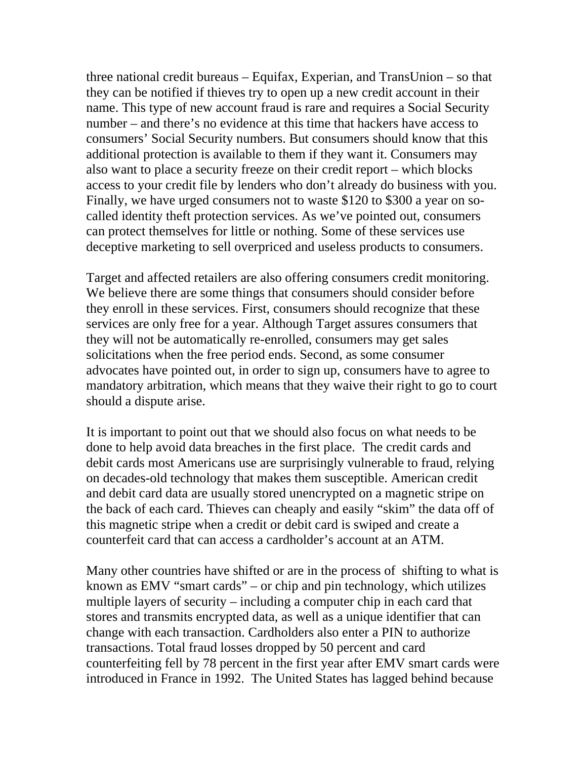three national credit bureaus – Equifax, Experian, and TransUnion – so that they can be notified if thieves try to open up a new credit account in their name. This type of new account fraud is rare and requires a Social Security number – and there's no evidence at this time that hackers have access to consumers' Social Security numbers. But consumers should know that this additional protection is available to them if they want it. Consumers may also want to place a security freeze on their credit report – which blocks access to your credit file by lenders who don't already do business with you. Finally, we have urged consumers not to waste \$120 to \$300 a year on socalled identity theft protection services. As we've pointed out, consumers can protect themselves for little or nothing. Some of these services use deceptive marketing to sell overpriced and useless products to consumers.

Target and affected retailers are also offering consumers credit monitoring. We believe there are some things that consumers should consider before they enroll in these services. First, consumers should recognize that these services are only free for a year. Although Target assures consumers that they will not be automatically re-enrolled, consumers may get sales solicitations when the free period ends. Second, as some consumer advocates have pointed out, in order to sign up, consumers have to agree to mandatory arbitration, which means that they waive their right to go to court should a dispute arise.

It is important to point out that we should also focus on what needs to be done to help avoid data breaches in the first place. The credit cards and debit cards most Americans use are surprisingly vulnerable to fraud, relying on decades-old technology that makes them susceptible. American credit and debit card data are usually stored unencrypted on a magnetic stripe on the back of each card. Thieves can cheaply and easily "skim" the data off of this magnetic stripe when a credit or debit card is swiped and create a counterfeit card that can access a cardholder's account at an ATM.

Many other countries have shifted or are in the process of shifting to what is known as EMV "smart cards" – or chip and pin technology, which utilizes multiple layers of security – including a computer chip in each card that stores and transmits encrypted data, as well as a unique identifier that can change with each transaction. Cardholders also enter a PIN to authorize transactions. Total fraud losses dropped by 50 percent and card counterfeiting fell by 78 percent in the first year after EMV smart cards were introduced in France in 1992. The United States has lagged behind because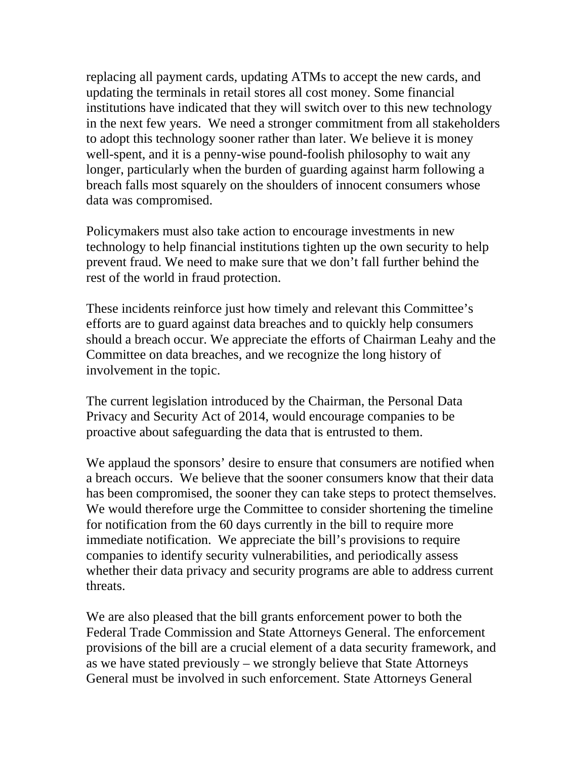replacing all payment cards, updating ATMs to accept the new cards, and updating the terminals in retail stores all cost money. Some financial institutions have indicated that they will switch over to this new technology in the next few years. We need a stronger commitment from all stakeholders to adopt this technology sooner rather than later. We believe it is money well-spent, and it is a penny-wise pound-foolish philosophy to wait any longer, particularly when the burden of guarding against harm following a breach falls most squarely on the shoulders of innocent consumers whose data was compromised.

Policymakers must also take action to encourage investments in new technology to help financial institutions tighten up the own security to help prevent fraud. We need to make sure that we don't fall further behind the rest of the world in fraud protection.

These incidents reinforce just how timely and relevant this Committee's efforts are to guard against data breaches and to quickly help consumers should a breach occur. We appreciate the efforts of Chairman Leahy and the Committee on data breaches, and we recognize the long history of involvement in the topic.

The current legislation introduced by the Chairman, the Personal Data Privacy and Security Act of 2014, would encourage companies to be proactive about safeguarding the data that is entrusted to them.

We applaud the sponsors' desire to ensure that consumers are notified when a breach occurs. We believe that the sooner consumers know that their data has been compromised, the sooner they can take steps to protect themselves. We would therefore urge the Committee to consider shortening the timeline for notification from the 60 days currently in the bill to require more immediate notification. We appreciate the bill's provisions to require companies to identify security vulnerabilities, and periodically assess whether their data privacy and security programs are able to address current threats.

We are also pleased that the bill grants enforcement power to both the Federal Trade Commission and State Attorneys General. The enforcement provisions of the bill are a crucial element of a data security framework, and as we have stated previously – we strongly believe that State Attorneys General must be involved in such enforcement. State Attorneys General